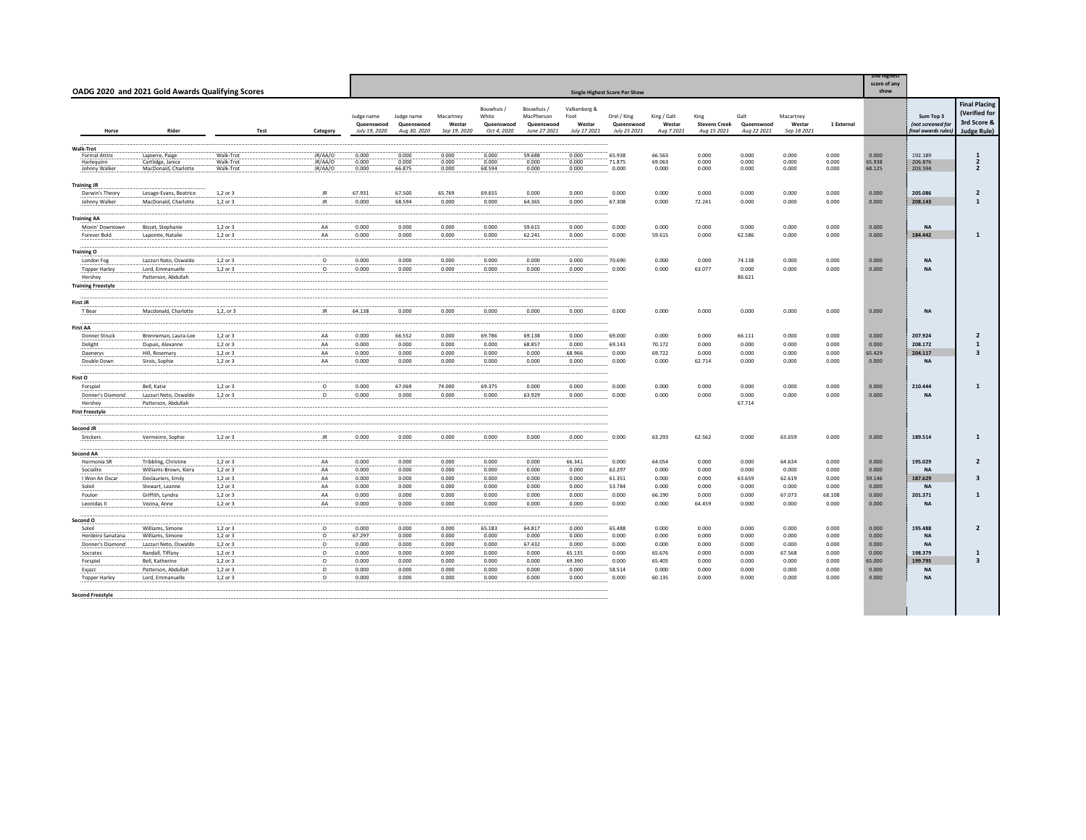|                                              | OADG 2020 and 2021 Gold Awards Qualifying Scores             |                                     |      |                               |                                           |                                          |                                     |                                                  |                                                        |                                                 | <b>Single Highest Score Per Show</b>      |                                     |                                             |                                   |                                    |                         | <b>Znd highest</b><br>score of any<br>show |                                                     |                                                                            |
|----------------------------------------------|--------------------------------------------------------------|-------------------------------------|------|-------------------------------|-------------------------------------------|------------------------------------------|-------------------------------------|--------------------------------------------------|--------------------------------------------------------|-------------------------------------------------|-------------------------------------------|-------------------------------------|---------------------------------------------|-----------------------------------|------------------------------------|-------------------------|--------------------------------------------|-----------------------------------------------------|----------------------------------------------------------------------------|
| Horse                                        | Rider                                                        |                                     | Test | Category                      | Judge name<br>Queenswood<br>July 19, 2020 | Judge name<br>Queenswood<br>Aug 30, 2020 | Macartney<br>Westar<br>Sep 19, 2020 | Bouwhuis /<br>White<br>Queenswood<br>Oct 4, 2020 | Bouwhuis /<br>MacPherson<br>Queenswood<br>June 27 2021 | Valkenborg &<br>Fizet<br>Westar<br>July 17 2021 | Orel / King<br>Queenswood<br>July 25 2021 | King / Galt<br>Westar<br>Aug 7 2021 | King<br><b>Stevens Creek</b><br>Aug 15 2021 | Galt<br>Queenswood<br>Aug 22 2021 | Macartney<br>Westar<br>Sep 18 2021 | 1 External              |                                            | Sum Top 3<br>(not screened for<br>inal awards rules | <b>Final Placing</b><br>(Verified for<br>3rd Score &<br><b>Judge Rule)</b> |
| Walk-Trot                                    |                                                              |                                     |      |                               |                                           |                                          |                                     |                                                  |                                                        |                                                 |                                           |                                     |                                             |                                   |                                    |                         |                                            |                                                     |                                                                            |
| Formal Attire<br>Harlequinn<br>Johnny Walker | Lapierre, Paige<br>Cartlidge, Janice<br>MacDonald, Charlotte | Walk-Trot<br>Walk-Trot<br>Walk-Trot |      | JR/AA/O<br>JR/AA/O<br>JR/AA/O | 0.000<br>0.000<br>0.000                   | 0.000<br>0.000<br>66.875                 | 0.000<br>0.000<br>0.000             | 0.000<br>0.000<br>68.594                         | 59,688<br>0.000<br>0.000                               | 0.000<br>0.000<br>0.000                         | 65.938<br>71.875<br>0.000                 | 66.563<br>69.063<br>0.000           | 0.000<br>0.000<br>0.000                     | 0.000<br>0.000<br>0.000           | 0.000<br>0.000<br>0.000            | 0.000<br>0.000<br>0.000 | 0.000<br>65.938<br>68.125                  | 192.189<br>206.876<br>203.594                       | $\frac{1}{2}$<br>$\overline{2}$                                            |
|                                              |                                                              |                                     |      |                               |                                           |                                          |                                     |                                                  |                                                        |                                                 |                                           |                                     |                                             |                                   |                                    |                         |                                            |                                                     |                                                                            |
| <b>Training JR</b><br>Darwin's Theory        | Lesage-Evans, Beatrice                                       | 1,2 or 3                            |      | JR.                           | 67.931                                    | 67.500                                   | 65.769                              | 69.655                                           | 0.000                                                  | 0.000                                           | 0.000                                     | 0.000                               | 0.000                                       | 0.000                             | 0.000                              | 0.000                   | 0.000                                      | 205.086                                             | $\overline{2}$                                                             |
| Johnny Walker                                | MacDonald, Charlotte                                         | 1,2 or 3                            |      | JR                            | 0.000                                     | 68.594                                   | 0.000                               | 0.000                                            | 64.365                                                 | 0.000                                           | 67.308                                    | 0.000                               | 72.241                                      | 0.000                             | 0.000                              | 0.000                   | 0.000                                      | 208.143                                             | $\mathbf{1}$                                                               |
| <b>Training AA</b>                           |                                                              |                                     |      |                               |                                           |                                          |                                     |                                                  |                                                        |                                                 |                                           |                                     |                                             |                                   |                                    |                         |                                            |                                                     |                                                                            |
| Movin' Downtown<br>Forever Bold              | Bisset, Stephanie<br>Lapointe, Natalie                       | 1,2 or 3<br>1,2 or 3                |      | AA<br>AA                      | 0.000<br>0.000                            | 0.000<br>0.000                           | 0.000<br>0.000                      | 0.000<br>0.000                                   | 59.615<br>62.241                                       | 0.000<br>0.000                                  | 0.000<br>0.000                            | 0.000<br>59.615                     | 0.000<br>0.000                              | 0.000<br>62.586                   | 0.000<br>0.000                     | 0.000<br>0.000          | 0.000<br>0.000                             | <b>NA</b><br>184.442                                | $\mathbf{1}$                                                               |
|                                              |                                                              |                                     |      |                               |                                           |                                          |                                     |                                                  |                                                        |                                                 |                                           |                                     |                                             |                                   |                                    |                         |                                            |                                                     |                                                                            |
| <b>Training O</b>                            |                                                              |                                     |      |                               |                                           |                                          |                                     |                                                  |                                                        |                                                 |                                           |                                     |                                             |                                   |                                    |                         |                                            |                                                     |                                                                            |
| London Fog<br><b>Topper Harley</b>           | Lazzuri Nato, Oswaldo<br>Lord, Emmanuelle                    | 1,2 or 3<br>1,2 or 3                |      | $\circ$<br>$\circ$            | 0.000<br>0.000                            | 0.000<br>0.000                           | 0.000<br>0.000                      | 0.000<br>0.000                                   | 0.000<br>0.000                                         | 0.000<br>0.000                                  | 70.690<br>0.000                           | 0.000<br>0.000                      | 0.000<br>63.077                             | 74.138<br>0.000                   | 0.000<br>0.000                     | 0.000<br>0.000          | 0.000<br>0.000                             | <b>NA</b><br><b>NA</b>                              |                                                                            |
| Hershey                                      | Patterson, Abdullah                                          |                                     |      |                               |                                           |                                          |                                     |                                                  |                                                        |                                                 |                                           |                                     |                                             | 86.621                            |                                    |                         |                                            |                                                     |                                                                            |
| <b>Training Freestyle</b>                    |                                                              |                                     |      |                               |                                           |                                          |                                     |                                                  |                                                        |                                                 |                                           |                                     |                                             |                                   |                                    |                         |                                            |                                                     |                                                                            |
| First JR                                     |                                                              |                                     |      |                               |                                           |                                          |                                     |                                                  |                                                        |                                                 |                                           |                                     |                                             |                                   |                                    |                         |                                            |                                                     |                                                                            |
| T Bear                                       | Macdonald, Charlotte                                         | 1,2, or 3                           |      | JR.                           | 64.138                                    | 0.000                                    | 0.000                               | 0.000                                            | 0.000                                                  | 0.000                                           | 0.000                                     | 0.000                               | 0.000                                       | 0.000                             | 0.000                              | 0.000                   | 0.000                                      | <b>NA</b>                                           |                                                                            |
| <b>First AA</b>                              |                                                              |                                     |      |                               |                                           |                                          |                                     |                                                  |                                                        |                                                 |                                           |                                     |                                             |                                   |                                    |                         |                                            |                                                     |                                                                            |
| Donner Struck                                | Brenneman, Laura-Lee                                         | 1,2 or 3                            |      | AA                            | 0.000                                     | 66.552                                   | 0.000                               | 69.786                                           | 69.138                                                 | 0.000                                           | 69.000                                    | 0.000                               | 0.000                                       | 66.111                            | 0.000                              | 0.000                   | 0.000                                      | 207.924                                             | $\overline{2}$                                                             |
| Delight                                      | Dupuis, Alexanne                                             | 1.2 or 3                            |      | AA                            | 0.000                                     | 0.000                                    | 0.000                               | 0.000                                            | 68.857                                                 | 0.000                                           | 69.143                                    | 70.172                              | 0.000                                       | 0.000                             | 0.000                              | 0.000                   | 0.000                                      | 208.172                                             | $\mathbf{1}$                                                               |
| Daenerys                                     | Hill, Rosemary                                               | 1,2 or 3                            |      | AA<br>AA                      | 0.000                                     | 0.000                                    | 0.000                               | 0.000                                            | 0.000                                                  | 68.966                                          | 0.000                                     | 69.722                              | 0.000                                       | 0.000                             | 0.000                              | 0.000                   | 65.429                                     | 204.117<br><b>NA</b>                                | $\overline{\mathbf{3}}$                                                    |
| Double Down                                  | Sirois, Sophie                                               | 1,2 or 3                            |      |                               | 0.000                                     | 0.000                                    | 0.000                               | 0.000                                            | 0.000                                                  | 0.000                                           | 0.000                                     | 0.000                               | 62.714                                      | 0.000                             | 0.000                              | 0.000                   | 0.000                                      |                                                     |                                                                            |
| First O                                      |                                                              |                                     |      |                               |                                           |                                          |                                     |                                                  |                                                        |                                                 |                                           |                                     |                                             |                                   |                                    |                         |                                            |                                                     |                                                                            |
| Forspiel                                     | Bell, Katie                                                  | 1,2 or 3                            |      | $\circ$                       | 0.000                                     | 67.069                                   | 74.000                              | 69.375                                           | 0.000                                                  | 0.000                                           | 0.000                                     | 0.000                               | 0.000                                       | 0.000                             | 0.000                              | 0.000                   | 0.000                                      | 210.444                                             | 1                                                                          |
| Donner's Diamond<br>Hershey                  | Lazzuri Neto, Oswaldo<br>Patterson, Abdullah                 | 1,2 or 3                            |      | $\circ$                       | 0.000                                     | 0.000                                    | 0.000                               | 0.000                                            | 63.929                                                 | 0.000                                           | 0.000                                     | 0.000                               | 0.000                                       | 0.000<br>67.714                   | 0.000                              | 0.000                   | 0.000                                      | <b>NA</b>                                           |                                                                            |
| <b>First Freestyle</b>                       |                                                              |                                     |      |                               |                                           |                                          |                                     |                                                  |                                                        |                                                 |                                           |                                     |                                             |                                   |                                    |                         |                                            |                                                     |                                                                            |
|                                              |                                                              |                                     |      |                               |                                           |                                          |                                     |                                                  |                                                        |                                                 |                                           |                                     |                                             |                                   |                                    |                         |                                            |                                                     |                                                                            |
| Second JR<br>Snickers                        | Vermeirre, Sophie                                            | 1,2 or 3                            |      | JR.                           | 0.000                                     | 0.000                                    | 0.000                               | 0.000                                            | 0.000                                                  | 0.000                                           | 0.000                                     | 63.293                              | 62.562                                      | 0.000                             | 63.659                             | 0.000                   | 0.000                                      | 189.514                                             | 1                                                                          |
|                                              |                                                              |                                     |      |                               |                                           |                                          |                                     |                                                  |                                                        |                                                 |                                           |                                     |                                             |                                   |                                    |                         |                                            |                                                     |                                                                            |
| Second AA<br>Harmonia SR                     | Tribbling, Christine                                         | 1,2 or 3                            |      | AA                            | 0.000                                     | 0.000                                    | 0.000                               | 0.000                                            | 0.000                                                  | 66.341                                          | 0.000                                     | 64.054                              | 0.000                                       | 0.000                             | 64.634                             | 0.000                   | 0.000                                      | 195.029                                             | $\overline{2}$                                                             |
| Socialite                                    | Williams-Brown, Kiera                                        | 1,2 or 3                            |      | AA                            | 0.000                                     | 0.000                                    | 0.000                               | 0.000                                            | 0.000                                                  | 0.000                                           | 62.297                                    | 0.000                               | 0.000                                       | 0.000                             | 0.000                              | 0.000                   | 0.000                                      | <b>NA</b>                                           |                                                                            |
| I Won An Oscar                               | Deslauriers, Emily                                           | 1,2 or 3                            |      | AA                            | 0.000                                     | 0.000                                    | 0.000                               | 0.000                                            | 0.000                                                  | 0.000                                           | 61.351                                    | 0.000                               | 0.000                                       | 63.659                            | 62.619                             | 0.000                   | 59.146                                     | 187.629                                             | $\overline{\mathbf{3}}$                                                    |
| Soleil                                       | Stewart, Leanne                                              | 1,2 or 3                            |      | AA                            | 0.000                                     | 0.000                                    | 0.000                               | 0.000                                            | 0.000                                                  | 0.000                                           | 53.784                                    | 0.000                               | 0.000                                       | 0.000                             | 0.000                              | 0.000                   | 0.000                                      | <b>NA</b>                                           |                                                                            |
| Foulon                                       | Griffith, Lyndra                                             | 1,2 or 3                            |      | AA                            | 0.000                                     | 0.000                                    | 0.000                               | 0.000                                            | 0.000                                                  | 0.000                                           | 0.000                                     | 66.190                              | 0.000                                       | 0.000                             | 67.073                             | 68.108                  | 0.000                                      | 201.371                                             | $\mathbf{1}$                                                               |
| Leonidas II                                  | Vezina, Anne                                                 | 1,2 or 3                            |      | AA                            | 0.000                                     | 0.000                                    | 0.000                               | 0.000                                            | 0.000                                                  | 0.000                                           | 0.000                                     | 0.000                               | 64.459                                      | 0.000                             | 0.000                              | 0.000                   | 0.000                                      | <b>NA</b>                                           |                                                                            |
| Second O                                     |                                                              |                                     |      |                               |                                           |                                          |                                     |                                                  |                                                        |                                                 |                                           |                                     |                                             |                                   |                                    |                         |                                            |                                                     |                                                                            |
| Soleil                                       | Williams, Simone                                             | 1,2 or 3                            |      | $\circ$                       | 0.000                                     | 0.000                                    | 0.000                               | 65.183                                           | 64.817                                                 | 0.000                                           | 65.488                                    | 0.000                               | 0.000                                       | 0.000                             | 0.000                              | 0.000                   | 0.000                                      | 195,488                                             | $\overline{2}$                                                             |
| Herdeiro Sanatana                            | Williams, Simone                                             | 1,2 or 3                            |      | $\circ$                       | 67.297                                    | 0.000                                    | 0.000                               | 0.000                                            | 0.000                                                  | 0.000                                           | 0.000                                     | 0.000                               | 0.000                                       | 0.000                             | 0.000                              | 0.000                   | 0.000                                      | <b>NA</b>                                           |                                                                            |
| Donner's Diamond                             | Lazzuri Neto, Oswaldo                                        | 1,2 or 3                            |      | $\circ$                       | 0.000                                     | 0.000                                    | 0.000                               | 0.000                                            | 67.432                                                 | 0.000                                           | 0.000                                     | 0.000                               | 0.000                                       | 0.000                             | 0.000                              | 0.000                   | 0.000                                      | <b>NA</b>                                           |                                                                            |
| Socrates                                     | Randall, Tiffany                                             | 1,2 or 3                            |      | $\circ$                       | 0.000                                     | 0.000                                    | 0.000                               | 0.000                                            | 0.000                                                  | 65.135                                          | 0.000                                     | 65.676                              | 0.000                                       | 0.000                             | 67.568                             | 0.000                   | 0.000                                      | 198.379                                             | $\mathbf{1}$                                                               |
| Forspiel                                     | <b>Bell, Katherine</b>                                       | 1,2 or 3                            |      | $\Omega$                      | 0.000                                     | 0.000                                    | 0.000                               | 0.000                                            | 0.000                                                  | 69.390                                          | 0.000                                     | 65.405                              | 0.000                                       | 0.000                             | 0.000                              | 0.000                   | 65,000                                     | 199.795                                             | $\overline{\mathbf{3}}$                                                    |
| Exjazz                                       | Patterson, Abdullah                                          | 1,2 or 3                            |      | $\circ$                       | 0.000                                     | 0.000                                    | 0.000                               | 0.000                                            | 0.000                                                  | 0.000                                           | 58.514                                    | 0.000                               | 0.000                                       | 0.000                             | 0.000                              | 0.000                   | 0.000                                      | <b>NA</b>                                           |                                                                            |
| <b>Topper Harley</b>                         | Lord, Emmanuelle                                             | 1,2 or 3                            |      | $\circ$                       | 0.000                                     | 0.000                                    | 0.000                               | 0.000                                            | 0.000                                                  | 0.000                                           | 0.000                                     | 60.135                              | 0.000                                       | 0.000                             | 0.000                              | 0.000                   | 0.000                                      | <b>NA</b>                                           |                                                                            |
| <b>Second Freestyle</b>                      |                                                              |                                     |      |                               |                                           |                                          |                                     |                                                  |                                                        |                                                 |                                           |                                     |                                             |                                   |                                    |                         |                                            |                                                     |                                                                            |
|                                              |                                                              |                                     |      |                               |                                           |                                          |                                     |                                                  |                                                        |                                                 |                                           |                                     |                                             |                                   |                                    |                         |                                            |                                                     |                                                                            |
|                                              |                                                              |                                     |      |                               |                                           |                                          |                                     |                                                  |                                                        |                                                 |                                           |                                     |                                             |                                   |                                    |                         |                                            |                                                     |                                                                            |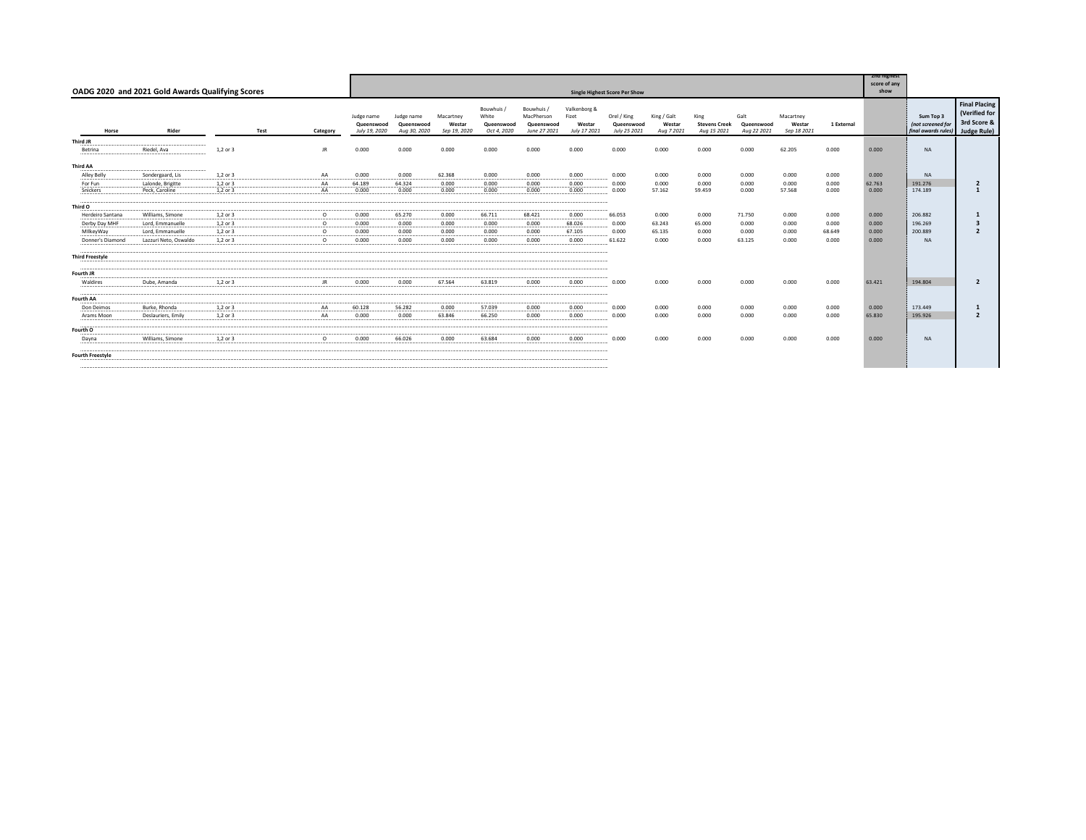|                         | OADG 2020 and 2021 Gold Awards Qualifying Scores | <b>Single Highest Score Per Show</b> |      |          |                                           |                                          |                                     |                                                |                                                        |                                                 |                                           |                                     |                                             |                                   |                                    |            |        |                                                       |                                                                            |
|-------------------------|--------------------------------------------------|--------------------------------------|------|----------|-------------------------------------------|------------------------------------------|-------------------------------------|------------------------------------------------|--------------------------------------------------------|-------------------------------------------------|-------------------------------------------|-------------------------------------|---------------------------------------------|-----------------------------------|------------------------------------|------------|--------|-------------------------------------------------------|----------------------------------------------------------------------------|
| Horse                   | Rider                                            |                                      | Test | Category | Judge name<br>Queenswood<br>July 19, 2020 | Judge name<br>Queenswood<br>Aug 30, 2020 | Macartney<br>Westar<br>Sep 19, 2020 | Bouwhuis<br>White<br>Queenswood<br>Oct 4, 2020 | Bouwhuis /<br>MacPherson<br>Queenswood<br>June 27 2021 | Valkenborg &<br>Fizet<br>Westar<br>July 17 2021 | Orel / King<br>Queenswood<br>July 25 2021 | King / Galt<br>Westar<br>Aug 7 2021 | King<br><b>Stevens Creek</b><br>Aug 15 2021 | Galt<br>Queenswood<br>Aug 22 2021 | Macartney<br>Westar<br>Sep 18 2021 | 1 External |        | Sum Top 3<br>(not screened for<br>final awards rules) | <b>Final Placing</b><br>(Verified for<br>3rd Score &<br><b>Judge Rule)</b> |
| Third JR                |                                                  |                                      |      |          |                                           |                                          |                                     |                                                |                                                        |                                                 |                                           |                                     |                                             |                                   |                                    |            |        |                                                       |                                                                            |
| Betrina                 | Riedel, Ava                                      | 1,2 or 3                             |      | JR.      | 0.000                                     | 0.000                                    | 0.000                               | 0.000                                          | 0.000                                                  | 0.000                                           | 0.000                                     | 0.000                               | 0.000                                       | 0.000                             | 62.205                             | 0.000      | 0.000  | <b>NA</b>                                             |                                                                            |
| Third AA                |                                                  |                                      |      |          |                                           |                                          |                                     |                                                |                                                        |                                                 |                                           |                                     |                                             |                                   |                                    |            |        |                                                       |                                                                            |
| Alley Belly             | Sondergaard, Lis                                 | 1.2 or 3                             |      | AA       | 0.000                                     | 0.000                                    | 62.368                              | 0.000                                          | 0.000                                                  | 0.000                                           | 0.000                                     | 0.000                               | 0.000                                       | 0.000                             | 0.000                              | 0.000      | 0.000  | <b>NA</b>                                             |                                                                            |
| For Fun                 | Lalonde, Brigitte                                | 1.2 or 3                             |      | AA       | 64.189                                    | 64.324                                   | 0.000                               | 0.000                                          | 0.000                                                  | 0.000                                           | 0.000                                     | 0.000                               | 0.000                                       | 0.000                             | 0.000                              | 0.000      | 62.763 | 191.276                                               | $\overline{2}$                                                             |
| Snickers                | Peck, Caroline                                   | 1.2 or 3                             |      | AA       | 0.000                                     | 0.000                                    | 0.000                               | 0.000                                          | 0.000                                                  | 0.000                                           | 0.000                                     | 57.162                              | 59.459                                      | 0.000                             | 57.568                             | 0.000      | 0.000  | 174.189                                               |                                                                            |
| Third O                 |                                                  |                                      |      |          |                                           |                                          |                                     |                                                |                                                        |                                                 |                                           |                                     |                                             |                                   |                                    |            |        |                                                       |                                                                            |
| Herdeiro Santana        | Williams, Simone                                 | 1.2 or 3                             |      | $\circ$  | 0.000                                     | 65.270                                   | 0.000                               | 66.711                                         | 68.421                                                 | 0.000                                           | 66.053                                    | 0.000                               | 0.000                                       | 71.750                            | 0.000                              | 0.000      | 0.000  | 206.882                                               |                                                                            |
| Derby Day MHF           | Lord, Emmanuelle                                 | 1.2 or 3                             |      | $\circ$  | 0.000                                     | 0.000                                    | 0.000                               | 0.000                                          | 0.000                                                  | 68.026                                          | 0.000                                     | 63.243                              | 65.000                                      | 0.000                             | 0.000                              | 0.000      | 0.000  | 196.269                                               | $\overline{\mathbf{3}}$                                                    |
| MilkeyWay               | Lord, Emmanuelle                                 | 1,2 or 3                             |      | $\circ$  | 0.000                                     | 0.000                                    | 0.000                               | 0.000                                          | 0.000                                                  | 67.105                                          | 0.000                                     | 65.135                              | 0.000                                       | 0.000                             | 0.000                              | 68.649     | 0.000  | 200.889                                               | $\overline{2}$                                                             |
| Donner's Diamond        | Lazzuri Neto, Oswaldo                            | 1.2 or 3                             |      | $\circ$  | 0.000                                     | 0.000                                    | 0.000                               | 0.000                                          | 0.000                                                  | 0.000                                           | 61.622                                    | 0.000                               | 0.000                                       | 63.125                            | 0.000                              | 0.000      | 0.000  | <b>NA</b>                                             |                                                                            |
| <b>Third Freestyle</b>  |                                                  |                                      |      |          |                                           |                                          |                                     |                                                |                                                        |                                                 |                                           |                                     |                                             |                                   |                                    |            |        |                                                       |                                                                            |
| Fourth JR               |                                                  |                                      |      |          |                                           |                                          |                                     |                                                |                                                        |                                                 |                                           |                                     |                                             |                                   |                                    |            |        |                                                       |                                                                            |
| Waldires                | Dube, Amanda                                     | 1.2 or 3                             |      | JR.      | 0.000                                     | 0.000                                    | 67.564                              | 63.819                                         | 0.000                                                  | 0.000                                           | 0.000                                     | 0.000                               | 0.000                                       | 0.000                             | 0.000                              | 0.000      | 63.421 | 194,804                                               | $\overline{2}$                                                             |
| <b>Fourth AA</b>        |                                                  |                                      |      |          |                                           |                                          |                                     |                                                |                                                        |                                                 |                                           |                                     |                                             |                                   |                                    |            |        |                                                       |                                                                            |
| Don Deimos              | Burke, Rhonda                                    | 1.2 or 3                             |      | AA       | 60.128                                    | 56.282                                   | 0.000                               | 57.039                                         | 0.000                                                  | 0.000                                           | 0.000                                     | 0.000                               | 0.000                                       | 0.000                             | 0.000                              | 0.000      | 0.000  | 173,449                                               |                                                                            |
|                         | Deslauriers, Emily                               | 1.2 or 3                             |      |          | 0.000                                     | 0.000                                    | 63,846                              | 66.250                                         | 0.000                                                  | 0.000                                           |                                           | 0.000                               | 0.000                                       | 0.000                             | 0.000                              | 0.000      | 65,830 | 195,926                                               | $\overline{\phantom{a}}$                                                   |
| Arams Moon              |                                                  |                                      |      | AA       |                                           |                                          |                                     |                                                |                                                        |                                                 | 0.000                                     |                                     |                                             |                                   |                                    |            |        |                                                       |                                                                            |
| Fourth O                |                                                  |                                      |      |          |                                           |                                          |                                     |                                                |                                                        |                                                 |                                           |                                     |                                             |                                   |                                    |            |        |                                                       |                                                                            |
| Dayna                   | Williams, Simone                                 | 1,2 or 3                             |      | $\circ$  | 0.000                                     | 66.026                                   | 0.000                               | 63.684                                         | 0.000                                                  | 0.000                                           | 0.000                                     | 0.000                               | 0.000                                       | 0.000                             | 0.000                              | 0.000      | 0.000  | <b>NA</b>                                             |                                                                            |
| <b>Fourth Freestyle</b> |                                                  |                                      |      |          |                                           |                                          |                                     |                                                |                                                        |                                                 |                                           |                                     |                                             |                                   |                                    |            |        |                                                       |                                                                            |
|                         |                                                  |                                      |      |          |                                           |                                          |                                     |                                                |                                                        |                                                 |                                           |                                     |                                             |                                   |                                    |            |        |                                                       |                                                                            |